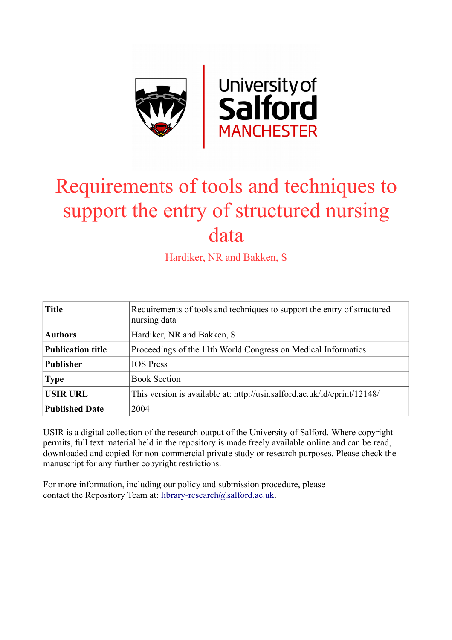

# Requirements of tools and techniques to support the entry of structured nursing data

Hardiker, NR and Bakken, S

| <b>Title</b>             | Requirements of tools and techniques to support the entry of structured<br>nursing data |
|--------------------------|-----------------------------------------------------------------------------------------|
| <b>Authors</b>           | Hardiker, NR and Bakken, S.                                                             |
| <b>Publication title</b> | Proceedings of the 11th World Congress on Medical Informatics                           |
| <b>Publisher</b>         | <b>IOS</b> Press                                                                        |
| <b>Type</b>              | <b>Book Section</b>                                                                     |
| <b>USIR URL</b>          | This version is available at: http://usir.salford.ac.uk/id/eprint/12148/                |
| <b>Published Date</b>    | 2004                                                                                    |

USIR is a digital collection of the research output of the University of Salford. Where copyright permits, full text material held in the repository is made freely available online and can be read, downloaded and copied for non-commercial private study or research purposes. Please check the manuscript for any further copyright restrictions.

For more information, including our policy and submission procedure, please contact the Repository Team at: [library-research@salford.ac.uk.](mailto:library-research@salford.ac.uk)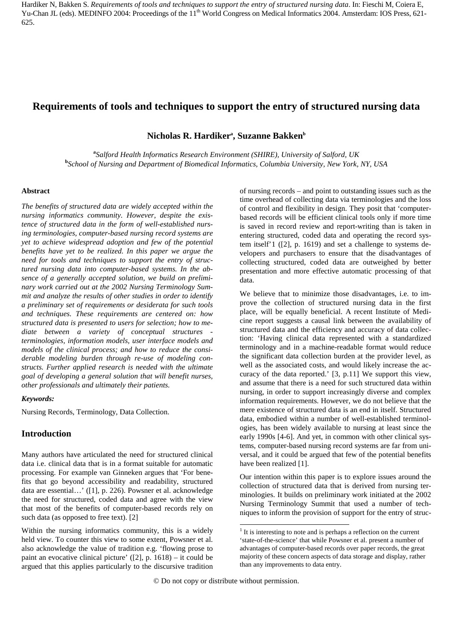# **Requirements of tools and techniques to support the entry of structured nursing data**

 $\mathbf{N}$ icholas **R. Hardikerª, Suzanne Bakken**b

**a** *Salford Health Informatics Research Environment (SHIRE), University of Salford, UK* **b** *School of Nursing and Department of Biomedical Informatics, Columbia University, New York, NY, USA*

#### **Abstract**

*The benefits of structured data are widely accepted within the nursing informatics community. However, despite the existence of structured data in the form of well-established nursing terminologies, computer-based nursing record systems are yet to achieve widespread adoption and few of the potential benefits have yet to be realized. In this paper we argue the need for tools and techniques to support the entry of structured nursing data into computer-based systems. In the absence of a generally accepted solution, we build on preliminary work carried out at the 2002 Nursing Terminology Summit and analyze the results of other studies in order to identify a preliminary set of requirements or desiderata for such tools and techniques. These requirements are centered on: how structured data is presented to users for selection; how to mediate between a variety of conceptual structures terminologies, information models, user interface models and models of the clinical process; and how to reduce the considerable modeling burden through re-use of modeling constructs. Further applied research is needed with the ultimate goal of developing a general solution that will benefit nurses, other professionals and ultimately their patients.* 

#### *Keywords:*

Nursing Records, Terminology, Data Collection.

## **Introduction**

Many authors have articulated the need for structured clinical data i.e. clinical data that is in a format suitable for automatic processing. For example van Ginneken argues that 'For benefits that go beyond accessibility and readability, structured data are essential…' ([1], p. 226). Powsner et al. acknowledge the need for structured, coded data and agree with the view that most of the benefits of computer-based records rely on such data (as opposed to free text). [2]

of nursing records – and point to outstanding issues such as the time overhead of collecting data via terminologies and the loss of control and flexibility in design. They posit that 'computerbased records will be efficient clinical tools only if more time is saved in record review and report-writing than is taken in entering structured, coded data and operating the record system itself'[1](#page-1-0) ([2], p. 1619) and set a challenge to systems developers and purchasers to ensure that the disadvantages of collecting structured, coded data are outweighed by better presentation and more effective automatic processing of that data.

We believe that to minimize those disadvantages, i.e. to improve the collection of structured nursing data in the first place, will be equally beneficial. A recent Institute of Medicine report suggests a causal link between the availability of structured data and the efficiency and accuracy of data collection: 'Having clinical data represented with a standardized terminology and in a machine-readable format would reduce the significant data collection burden at the provider level, as well as the associated costs, and would likely increase the accuracy of the data reported.' [3, p.11] We support this view, and assume that there is a need for such structured data within nursing, in order to support increasingly diverse and complex information requirements. However, we do not believe that the mere existence of structured data is an end in itself. Structured data, embodied within a number of well-established terminologies, has been widely available to nursing at least since the early 1990s [4-6]. And yet, in common with other clinical systems, computer-based nursing record systems are far from universal, and it could be argued that few of the potential benefits have been realized [1].

Our intention within this paper is to explore issues around the collection of structured data that is derived from nursing terminologies. It builds on preliminary work initiated at the 2002 Nursing Terminology Summit that used a number of techniques to inform the provision of support for the entry of struc-

<span id="page-1-0"></span>Within the nursing informatics community, this is a widely held view. To counter this view to some extent, Powsner et al. also acknowledge the value of tradition e.g. 'flowing prose to paint an evocative clinical picture' ([2], p. 1618) – it could be argued that this applies particularly to the discursive tradition

 $<sup>1</sup>$  It is interesting to note and is perhaps a reflection on the current</sup> 'state-of-the-science' that while Powsner et al. present a number of advantages of computer-based records over paper records, the great majority of these concern aspects of data storage and display, rather than any improvements to data entry.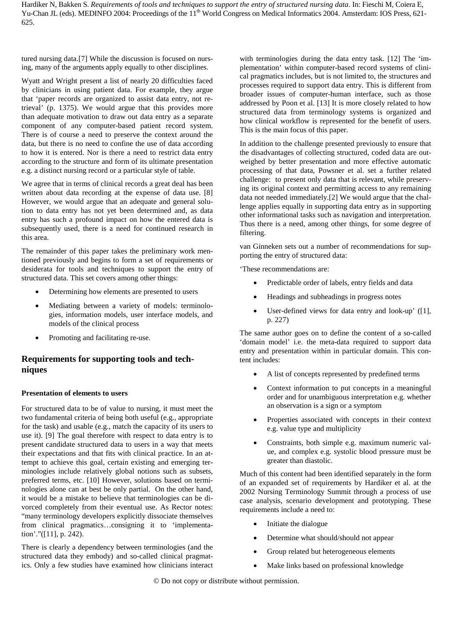tured nursing data.[7] While the discussion is focused on nursing, many of the arguments apply equally to other disciplines.

Wyatt and Wright present a list of nearly 20 difficulties faced by clinicians in using patient data. For example, they argue that 'paper records are organized to assist data entry, not retrieval' (p. 1375). We would argue that this provides more than adequate motivation to draw out data entry as a separate component of any computer-based patient record system. There is of course a need to preserve the context around the data, but there is no need to confine the use of data according to how it is entered. Nor is there a need to restrict data entry according to the structure and form of its ultimate presentation e.g. a distinct nursing record or a particular style of table.

We agree that in terms of clinical records a great deal has been written about data recording at the expense of data use. [8] However, we would argue that an adequate and general solution to data entry has not yet been determined and, as data entry has such a profound impact on how the entered data is subsequently used, there is a need for continued research in this area.

The remainder of this paper takes the preliminary work mentioned previously and begins to form a set of requirements or desiderata for tools and techniques to support the entry of structured data. This set covers among other things:

- Determining how elements are presented to users
- Mediating between a variety of models: terminologies, information models, user interface models, and models of the clinical process
- Promoting and facilitating re-use.

# **Requirements for supporting tools and techniques**

#### **Presentation of elements to users**

For structured data to be of value to nursing, it must meet the two fundamental criteria of being both useful (e.g., appropriate for the task) and usable (e.g., match the capacity of its users to use it). [9] The goal therefore with respect to data entry is to present candidate structured data to users in a way that meets their expectations and that fits with clinical practice. In an attempt to achieve this goal, certain existing and emerging terminologies include relatively global notions such as subsets, preferred terms, etc. [10] However, solutions based on terminologies alone can at best be only partial. On the other hand, it would be a mistake to believe that terminologies can be divorced completely from their eventual use. As Rector notes: "many terminology developers explicitly dissociate themselves from clinical pragmatics…consigning it to 'implementation'."([11], p. 242).

There is clearly a dependency between terminologies (and the structured data they embody) and so-called clinical pragmatics. Only a few studies have examined how clinicians interact

with terminologies during the data entry task. [12] The 'implementation' within computer-based record systems of clinical pragmatics includes, but is not limited to, the structures and processes required to support data entry. This is different from broader issues of computer-human interface, such as those addressed by Poon et al. [13] It is more closely related to how structured data from terminology systems is organized and how clinical workflow is represented for the benefit of users. This is the main focus of this paper.

In addition to the challenge presented previously to ensure that the disadvantages of collecting structured, coded data are outweighed by better presentation and more effective automatic processing of that data, Powsner et al. set a further related challenge: to present only data that is relevant, while preserving its original context and permitting access to any remaining data not needed immediately.[2] We would argue that the challenge applies equally in supporting data entry as in supporting other informational tasks such as navigation and interpretation. Thus there is a need, among other things, for some degree of filtering.

van Ginneken sets out a number of recommendations for supporting the entry of structured data:

'These recommendations are:

- Predictable order of labels, entry fields and data
- Headings and subheadings in progress notes
- User-defined views for data entry and look-up' ([1], p. 227)

The same author goes on to define the content of a so-called 'domain model' i.e. the meta-data required to support data entry and presentation within in particular domain. This content includes:

- A list of concepts represented by predefined terms
- Context information to put concepts in a meaningful order and for unambiguous interpretation e.g. whether an observation is a sign or a symptom
- Properties associated with concepts in their context e.g. value type and multiplicity
- Constraints, both simple e.g. maximum numeric value, and complex e.g. systolic blood pressure must be greater than diastolic.

Much of this content had been identified separately in the form of an expanded set of requirements by Hardiker et al. at the 2002 Nursing Terminology Summit through a process of use case analysis, scenario development and prototyping. These requirements include a need to:

- Initiate the dialogue
- Determine what should/should not appear
- Group related but heterogeneous elements
- Make links based on professional knowledge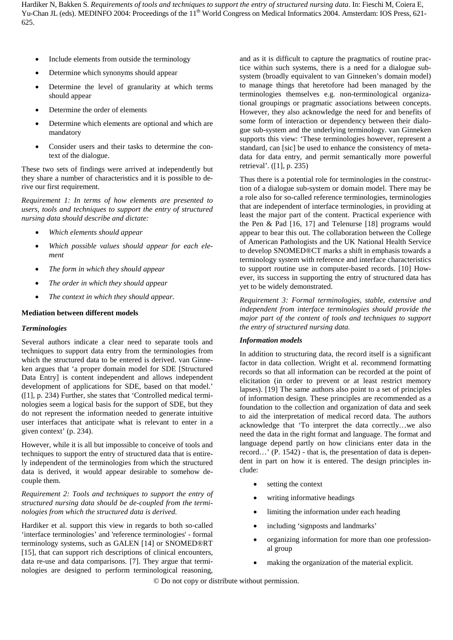- Include elements from outside the terminology
- Determine which synonyms should appear
- Determine the level of granularity at which terms should appear
- Determine the order of elements
- Determine which elements are optional and which are mandatory
- Consider users and their tasks to determine the context of the dialogue.

These two sets of findings were arrived at independently but they share a number of characteristics and it is possible to derive our first requirement.

*Requirement 1: In terms of how elements are presented to users, tools and techniques to support the entry of structured nursing data should describe and dictate:*

- *Which elements should appear*
- *Which possible values should appear for each element*
- *The form in which they should appear*
- *The order in which they should appear*
- *The context in which they should appear.*

#### **Mediation between different models**

#### *Terminologies*

Several authors indicate a clear need to separate tools and techniques to support data entry from the terminologies from which the structured data to be entered is derived. van Ginneken argues that 'a proper domain model for SDE [Structured Data Entry] is content independent and allows independent development of applications for SDE, based on that model.' ([1], p. 234) Further, she states that 'Controlled medical terminologies seem a logical basis for the support of SDE, but they do not represent the information needed to generate intuitive user interfaces that anticipate what is relevant to enter in a given context' (p. 234).

However, while it is all but impossible to conceive of tools and techniques to support the entry of structured data that is entirely independent of the terminologies from which the structured data is derived, it would appear desirable to somehow decouple them.

*Requirement 2: Tools and techniques to support the entry of structured nursing data should be de-coupled from the terminologies from which the structured data is derived.*

Hardiker et al. support this view in regards to both so-called 'interface terminologies' and 'reference terminologies' - formal terminology systems, such as GALEN [14] or SNOMED®RT [15], that can support rich descriptions of clinical encounters, data re-use and data comparisons. [7]. They argue that terminologies are designed to perform terminological reasoning,

and as it is difficult to capture the pragmatics of routine practice within such systems, there is a need for a dialogue subsystem (broadly equivalent to van Ginneken's domain model) to manage things that heretofore had been managed by the terminologies themselves e.g. non-terminological organizational groupings or pragmatic associations between concepts. However, they also acknowledge the need for and benefits of some form of interaction or dependency between their dialogue sub-system and the underlying terminology. van Ginneken supports this view: 'These terminologies however, represent a standard, can [sic] be used to enhance the consistency of metadata for data entry, and permit semantically more powerful retrieval'. ([1], p. 235)

Thus there is a potential role for terminologies in the construction of a dialogue sub-system or domain model. There may be a role also for so-called reference terminologies, terminologies that are independent of interface terminologies, in providing at least the major part of the content. Practical experience with the Pen & Pad [16, 17] and Telenurse [18] programs would appear to bear this out. The collaboration between the College of American Pathologists and the UK National Health Service to develop SNOMED®CT marks a shift in emphasis towards a terminology system with reference and interface characteristics to support routine use in computer-based records. [10] However, its success in supporting the entry of structured data has yet to be widely demonstrated.

*Requirement 3: Formal terminologies, stable, extensive and independent from interface terminologies should provide the major part of the content of tools and techniques to support the entry of structured nursing data.*

#### *Information models*

In addition to structuring data, the record itself is a significant factor in data collection. Wright et al. recommend formatting records so that all information can be recorded at the point of elicitation (in order to prevent or at least restrict memory lapses). [19] The same authors also point to a set of principles of information design. These principles are recommended as a foundation to the collection and organization of data and seek to aid the interpretation of medical record data. The authors acknowledge that 'To interpret the data correctly…we also need the data in the right format and language. The format and language depend partly on how clinicians enter data in the record…' (P. 1542) - that is, the presentation of data is dependent in part on how it is entered. The design principles include:

- setting the context
- writing informative headings
- limiting the information under each heading
- including 'signposts and landmarks'
- organizing information for more than one professional group
- making the organization of the material explicit.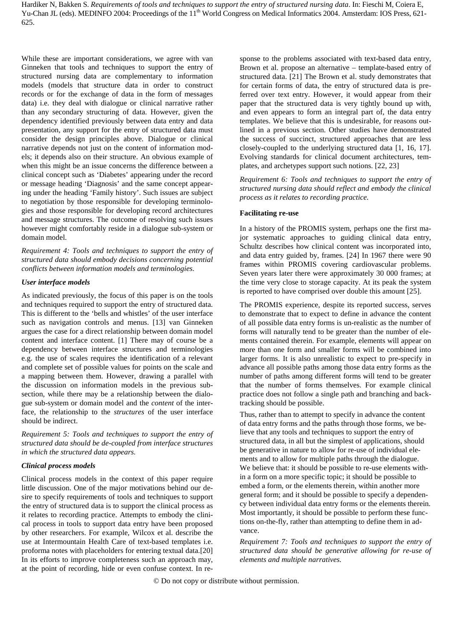While these are important considerations, we agree with van Ginneken that tools and techniques to support the entry of structured nursing data are complementary to information models (models that structure data in order to construct records or for the exchange of data in the form of messages data) i.e. they deal with dialogue or clinical narrative rather than any secondary structuring of data. However, given the dependency identified previously between data entry and data presentation, any support for the entry of structured data must consider the design principles above. Dialogue or clinical narrative depends not just on the content of information models; it depends also on their structure. An obvious example of when this might be an issue concerns the difference between a clinical concept such as 'Diabetes' appearing under the record or message heading 'Diagnosis' and the same concept appearing under the heading 'Family history'. Such issues are subject to negotiation by those responsible for developing terminologies and those responsible for developing record architectures and message structures. The outcome of resolving such issues however might comfortably reside in a dialogue sub-system or domain model.

*Requirement 4: Tools and techniques to support the entry of structured data should embody decisions concerning potential conflicts between information models and terminologies.*

#### *User interface models*

As indicated previously, the focus of this paper is on the tools and techniques required to support the entry of structured data. This is different to the 'bells and whistles' of the user interface such as navigation controls and menus. [13] van Ginneken argues the case for a direct relationship between domain model content and interface content. [1] There may of course be a dependency between interface structures and terminologies e.g. the use of scales requires the identification of a relevant and complete set of possible values for points on the scale and a mapping between them. However, drawing a parallel with the discussion on information models in the previous subsection, while there may be a relationship between the dialogue sub-system or domain model and the *content* of the interface, the relationship to the *structures* of the user interface should be indirect.

*Requirement 5: Tools and techniques to support the entry of structured data should be de-coupled from interface structures in which the structured data appears.*

#### *Clinical process models*

Clinical process models in the context of this paper require little discussion. One of the major motivations behind our desire to specify requirements of tools and techniques to support the entry of structured data is to support the clinical process as it relates to recording practice. Attempts to embody the clinical process in tools to support data entry have been proposed by other researchers. For example, Wilcox et al. describe the use at Intermountain Health Care of text-based templates i.e. proforma notes with placeholders for entering textual data.[20] In its efforts to improve completeness such an approach may, at the point of recording, hide or even confuse context. In re-

sponse to the problems associated with text-based data entry, Brown et al. propose an alternative – template-based entry of structured data. [21] The Brown et al. study demonstrates that for certain forms of data, the entry of structured data is preferred over text entry. However, it would appear from their paper that the structured data is very tightly bound up with, and even appears to form an integral part of, the data entry templates. We believe that this is undesirable, for reasons outlined in a previous section. Other studies have demonstrated the success of succinct, structured approaches that are less closely-coupled to the underlying structured data [1, 16, 17]. Evolving standards for clinical document architectures, templates, and archetypes support such notions. [22, 23]

*Requirement 6: Tools and techniques to support the entry of structured nursing data should reflect and embody the clinical process as it relates to recording practice.*

#### **Facilitating re-use**

In a history of the PROMIS system, perhaps one the first major systematic approaches to guiding clinical data entry, Schultz describes how clinical content was incorporated into, and data entry guided by, frames. [24] In 1967 there were 90 frames within PROMIS covering cardiovascular problems. Seven years later there were approximately 30 000 frames; at the time very close to storage capacity. At its peak the system is reported to have comprised over double this amount [25].

The PROMIS experience, despite its reported success, serves to demonstrate that to expect to define in advance the content of all possible data entry forms is un-realistic as the number of forms will naturally tend to be greater than the number of elements contained therein. For example, elements will appear on more than one form and smaller forms will be combined into larger forms. It is also unrealistic to expect to pre-specify in advance all possible paths among those data entry forms as the number of paths among different forms will tend to be greater that the number of forms themselves. For example clinical practice does not follow a single path and branching and backtracking should be possible.

Thus, rather than to attempt to specify in advance the content of data entry forms and the paths through those forms, we believe that any tools and techniques to support the entry of structured data, in all but the simplest of applications, should be generative in nature to allow for re-use of individual elements and to allow for multiple paths through the dialogue. We believe that: it should be possible to re-use elements within a form on a more specific topic; it should be possible to embed a form, or the elements therein, within another more general form; and it should be possible to specify a dependency between individual data entry forms or the elements therein. Most importantly, it should be possible to perform these functions on-the-fly, rather than attempting to define them in advance.

*Requirement 7: Tools and techniques to support the entry of structured data should be generative allowing for re-use of elements and multiple narratives.*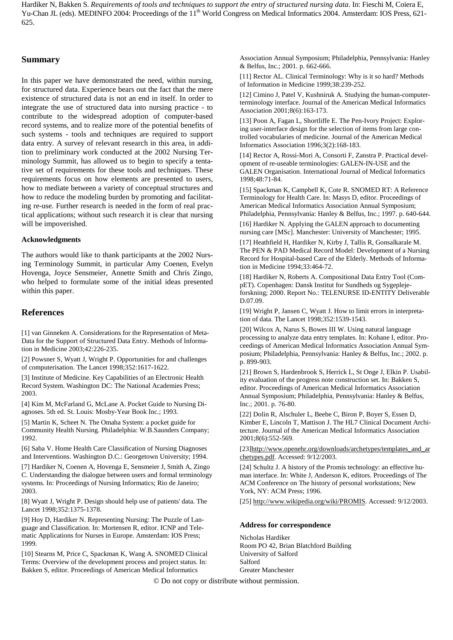#### **Summary**

In this paper we have demonstrated the need, within nursing, for structured data. Experience bears out the fact that the mere existence of structured data is not an end in itself. In order to integrate the use of structured data into nursing practice - to contribute to the widespread adoption of computer-based record systems, and to realize more of the potential benefits of such systems - tools and techniques are required to support data entry. A survey of relevant research in this area, in addition to preliminary work conducted at the 2002 Nursing Terminology Summit, has allowed us to begin to specify a tentative set of requirements for these tools and techniques. These requirements focus on how elements are presented to users, how to mediate between a variety of conceptual structures and how to reduce the modeling burden by promoting and facilitating re-use. Further research is needed in the form of real practical applications; without such research it is clear that nursing will be impoverished.

#### **Acknowledgments**

The authors would like to thank participants at the 2002 Nursing Terminology Summit, in particular Amy Coenen, Evelyn Hovenga, Joyce Sensmeier, Annette Smith and Chris Zingo, who helped to formulate some of the initial ideas presented within this paper.

### **References**

[1] van Ginneken A. Considerations for the Representation of Meta-Data for the Support of Structured Data Entry. Methods of Information in Medicine 2003;42:226-235.

[2] Powsner S, Wyatt J, Wright P. Opportunities for and challenges of computerisation. The Lancet 1998;352:1617-1622.

[3] Institute of Medicine. Key Capabilities of an Electronic Health Record System. Washington DC: The National Academies Press; 2003.

[4] Kim M, McFarland G, McLane A. Pocket Guide to Nursing Diagnoses. 5th ed. St. Louis: Mosby-Year Book Inc.; 1993.

[5] Martin K, Scheet N. The Omaha System: a pocket guide for Community Health Nursing. Philadelphia: W.B.Saunders Company; 1992.

[6] Saba V. Home Health Care Classification of Nursing Diagnoses and Interventions. Washington D.C.: Georgetown University; 1994.

[7] Hardiker N, Coenen A, Hovenga E, Sensmeier J, Smith A, Zingo C. Understanding the dialogue between users and formal terminology systems. In: Proceedings of Nursing Informatics; Rio de Janeiro; 2003.

[8] Wyatt J, Wright P. Design should help use of patients' data. The Lancet 1998;352:1375-1378.

[9] Hoy D, Hardiker N. Representing Nursing: The Puzzle of Language and Classification. In: Mortensen R, editor. ICNP and Telematic Applications for Nurses in Europe. Amsterdam: IOS Press; 1999.

[10] Stearns M, Price C, Spackman K, Wang A. SNOMED Clinical Terms: Overview of the development process and project status. In: Bakken S, editor. Proceedings of American Medical Informatics

Association Annual Symposium; Philadelphia, Pennsylvania: Hanley & Belfus, Inc.; 2001. p. 662-666.

[11] Rector AL. Clinical Terminology: Why is it so hard? Methods of Information in Medicine 1999;38:239-252.

[12] Cimino J, Patel V, Kushniruk A. Studying the human-computerterminology interface. Journal of the American Medical Informatics Association 2001;8(6):163-173.

[13] Poon A, Fagan L, Shortliffe E. The Pen-Ivory Project: Exploring user-interface design for the selection of items from large controlled vocabularies of medicine. Journal of the American Medical Informatics Association 1996;3(2):168-183.

[14] Rector A, Rossi-Mori A, Consorti F, Zanstra P. Practical development of re-useable terminologies: GALEN-IN-USE and the GALEN Organisation. International Journal of Medical Informatics 1998;48:71-84.

[15] Spackman K, Campbell K, Cote R. SNOMED RT: A Reference Terminology for Health Care. In: Masys D, editor. Proceedings of American Medical Informatics Association Annual Symposium; Philadelphia, Pennsylvania: Hanley & Belfus, Inc.; 1997. p. 640-644.

[16] Hardiker N. Applying the GALEN approach to documenting nursing care [MSc]. Manchester: University of Manchester; 1995.

[17] Heathfield H, Hardiker N, Kirby J, Tallis R, Gonsalkarale M. The PEN & PAD Medical Record Model: Development of a Nursing Record for Hospital-based Care of the Elderly. Methods of Information in Medicine 1994;33:464-72.

[18] Hardiker N, Roberts A. Compositional Data Entry Tool (CompET). Copenhagen: Dansk Institut for Sundheds og Sygeplejeforskning; 2000. Report No.: TELENURSE ID-ENTITY Deliverable D.07.09.

[19] Wright P, Jansen C, Wyatt J. How to limit errors in interpretation of data. The Lancet 1998;352:1539-1543.

[20] Wilcox A, Narus S, Bowes III W. Using natural language processing to analyze data entry templates. In: Kohane I, editor. Proceedings of American Medical Informatics Association Annual Symposium; Philadelphia, Pennsylvania: Hanley & Belfus, Inc.; 2002. p. p. 899-903.

[21] Brown S, Hardenbrook S, Herrick L, St Onge J, Elkin P. Usability evaluation of the progress note construction set. In: Bakken S, editor. Proceedings of American Medical Informatics Association Annual Symposium; Philadelphia, Pennsylvania: Hanley & Belfus, Inc.; 2001. p. 76-80.

[22] Dolin R, Alschuler L, Beebe C, Biron P, Boyer S, Essen D, Kimber E, Lincoln T, Mattison J. The HL7 Clinical Document Architecture. Journal of the American Medical Informatics Association 2001;8(6):552-569.

[23[\]http://www.openehr.org/downloads/archetypes/templates\\_and\\_ar](http://www.openehr.org/downloads/archetypes/templates_and_archetypes.pdf) [chetypes.pdf.](http://www.openehr.org/downloads/archetypes/templates_and_archetypes.pdf) Accessed: 9/12/2003.

[24] Schultz J. A history of the Promis technology: an effective human interface. In: White J, Anderson K, editors. Proceedings of The ACM Conference on The history of personal workstations; New York, NY: ACM Press; 1996.

[25] [http://www.wikipedia.org/wiki/PROMIS.](http://www.wikipedia.org/wiki/PROMIS) Accessed: 9/12/2003.

#### **Address for correspondence**

Nicholas Hardiker Room PO 42, Brian Blatchford Building University of Salford Salford Greater Manchester